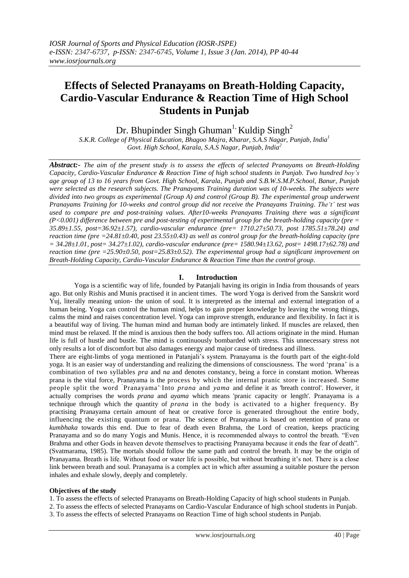# **Effects of Selected Pranayams on Breath-Holding Capacity, Cardio-Vascular Endurance & Reaction Time of High School Students in Punjab**

Dr. Bhupinder Singh Ghuman<sup>1,</sup> Kuldip Singh<sup>2</sup>

*S.K.R. College of Physical Education, Bhagoo Majra, Kharar, S.A.S Nagar, Punjab, India<sup>1</sup> Govt. High School, Karala, S.A.S Nagar, Punjab, India<sup>2</sup>*

*Abstract:- The aim of the present study is to assess the effects of selected Pranayams on Breath-Holding Capacity, Cardio-Vascular Endurance & Reaction Time of high school students in Punjab. Two hundred boy's age group of 13 to 16 years from Govt. High School, Karala, Punjab and S.B.W.S.M.P.School, Banur, Punjab were selected as the research subjects. The Pranayams Training duration was of 10-weeks. The subjects were divided into two groups as experimental (Group A) and control (Group B). The experimental group underwent Pranayams Training for 10-weeks and control group did not receive the Pranayams Training. The't' test was used to compare pre and post-training values. After10-weeks Pranayams Training there was a significant (P<0.001) difference between pre and post-testing of experimental group for the breath-holding capacity (pre = 35.89±1.55, post=36.92±1.57), cardio-vascular endurance (pre= 1710.27±50.73, post 1785.51±78.24) and reaction time (pre =24.81±0.40, post 23.55±0.43) as well as control group for the breath-holding capacity (pre = 34.28±1.01, post= 34.27±1.02), cardio-vascular endurance (pre= 1580.94±13.62, post= 1498.17±62.78) and reaction time (pre =25.90±0.50, post=25.83±0.52). The experimental group had a significant improvement on Breath-Holding Capacity, Cardio-Vascular Endurance & Reaction Time than the control group.*

## **I. Introduction**

Yoga is a scientific way of life, founded by Patanjali having its origin in India from thousands of years ago. But only Rishis and Munis practised it in ancient times. The word Yoga is derived from the Sanskrit word Yuj, literally meaning union- the union of soul. It is interpreted as the internal and external integration of a human being. Yoga can control the human mind, helps to gain proper knowledge by leaving the wrong things, calms the mind and raises concentration level. Yoga can improve strength, endurance and flexibility. In fact it is a beautiful way of living. The human mind and human body are intimately linked. If muscles are relaxed, then mind must be relaxed. If the mind is anxious then the body suffers too. All actions originate in the mind. Human life is full of hustle and bustle. The mind is continuously bombarded with stress. This unnecessary stress not only results a lot of discomfort but also damages energy and major cause of tiredness and illness.

There are eight-limbs of yoga mentioned in Patanjali"s system. Pranayama is the fourth part of the eight-fold yoga. It is an easier way of understanding and realizing the dimensions of consciousness. The word "prana" is a combination of two syllables *pra* and *na* and denotes constancy, being a force in constant motion. Whereas prana is the vital force, Pranayama is the process by which the internal pranic store is increased. Some people split the word Pranayama' Into *prana* and *yama* and define it as 'breath control'. However, it actually comprises the words *prana* and *ayama* which means 'pranic capacity or length'. Pranayama is a technique through which the quantity of *prana* in the body is activated to a higher frequency. By practising Pranayama certain amount of heat or creative force is generated throughout the entire body, influencing the existing quantum or prana. The science of Pranayama is based on retention of prana or *kumbhaka* towards this end. Due to fear of death even Brahma, the Lord of creation, keeps practicing Pranayama and so do many Yogis and Munis. Hence, it is recommended always to control the breath. "Even Brahma and other Gods in heaven devote themselves to practising Pranayama because it ends the fear of death". (Svatmarama, 1985). The mortals should follow the same path and control the breath. It may be the origin of Pranayama. Breath is life. Without food or water life is possible, but without breathing it's not. There is a close link between breath and soul. Pranayama is a complex act in which after assuming a suitable posture the person inhales and exhale slowly, deeply and completely.

## **Objectives of the study**

1. To assess the effects of selected Pranayams on Breath-Holding Capacity of high school students in Punjab.

2. To assess the effects of selected Pranayams on Cardio-Vascular Endurance of high school students in Punjab.

3. To assess the effects of selected Pranayams on Reaction Time of high school students in Punjab.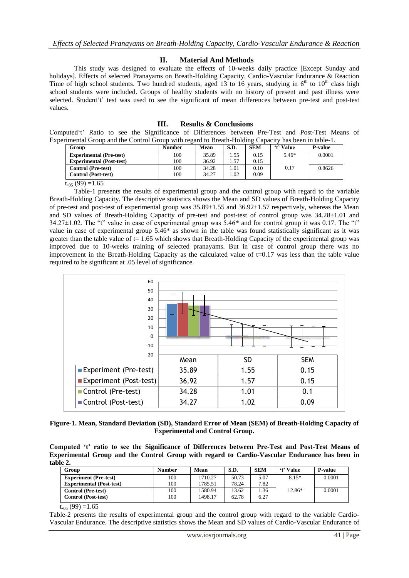## **II. Material And Methods**

This study was designed to evaluate the effects of 10-weeks daily practice [Except Sunday and holidays]. Effects of selected Pranayams on Breath-Holding Capacity, Cardio-Vascular Endurance & Reaction Time of high school students. Two hundred students, aged 13 to 16 years, studying in  $6<sup>th</sup>$  to  $10<sup>th</sup>$  class high school students were included. Groups of healthy students with no history of present and past illness were selected. Student"t" test was used to see the significant of mean differences between pre-test and post-test values.

## **III. Results & Conclusions**

Computed"t" Ratio to see the Significance of Differences between Pre-Test and Post-Test Means of Experimental Group and the Control Group with regard to Breath-Holding Capacity has been in table-1.

| Group                           | <b>Number</b> | Mean  | S.D.   | <b>SEM</b> | <i>'t'</i> Value | <b>P-value</b> |
|---------------------------------|---------------|-------|--------|------------|------------------|----------------|
| <b>Experimental (Pre-test)</b>  | 100           | 35.89 | . . 55 | 0.15       | $5.46*$          | 0.0001         |
| <b>Experimental (Post-test)</b> | 100           | 36.92 | . . 57 | 0.15       |                  |                |
| <b>Control</b> (Pre-test)       | 100           | 34.28 | . 01   | 0.10       | 0.17             | 0.8626         |
| <b>Control</b> (Post-test)      | 100           | 34.27 | .02    | 0.09       |                  |                |

 $t_{.05}$  (99) =1.65

Table-1 presents the results of experimental group and the control group with regard to the variable Breath-Holding Capacity. The descriptive statistics shows the Mean and SD values of Breath-Holding Capacity of pre-test and post-test of experimental group was  $35.89 \pm 1.55$  and  $36.92 \pm 1.57$  respectively, whereas the Mean and SD values of Breath-Holding Capacity of pre-test and post-test of control group was 34.28±1.01 and  $34.27\pm1.02$ . The "t" value in case of experimental group was  $5.46*$  and for control group it was 0.17. The "t" value in case of experimental group 5.46\* as shown in the table was found statistically significant as it was greater than the table value of  $t= 1.65$  which shows that Breath-Holding Capacity of the experimental group was improved due to 10-weeks training of selected pranayams. But in case of control group there was no improvement in the Breath-Holding Capacity as the calculated value of t=0.17 was less than the table value required to be significant at .05 level of significance.



**Figure-1. Mean, Standard Deviation (SD), Standard Error of Mean (SEM) of Breath-Holding Capacity of Experimental and Control Group.**

**Computed 't' ratio to see the Significance of Differences between Pre-Test and Post-Test Means of Experimental Group and the Control Group with regard to Cardio-Vascular Endurance has been in table 2.**

| Group                           | Number | Mean    | S.D.  | <b>SEM</b> | 't' Value | <b>P-value</b> |
|---------------------------------|--------|---------|-------|------------|-----------|----------------|
| <b>Experiment</b> (Pre-test)    | 100    | 1710.27 | 50.73 | 5.07       | $8.15*$   | 0.0001         |
| <b>Experimental (Post-test)</b> | 100    | 1785.51 | 78.24 | 7.82       |           |                |
| <b>Control</b> (Pre-test)       | 100    | 1580.94 | 13.62 | 1.36       | $12.86*$  | 0.0001         |
| <b>Control</b> (Post-test)      | 100    | 1498.17 | 62.78 | 6.27       |           |                |

 $t_{.05}$  (99) =1.65

Table-2 presents the results of experimental group and the control group with regard to the variable Cardio-Vascular Endurance. The descriptive statistics shows the Mean and SD values of Cardio-Vascular Endurance of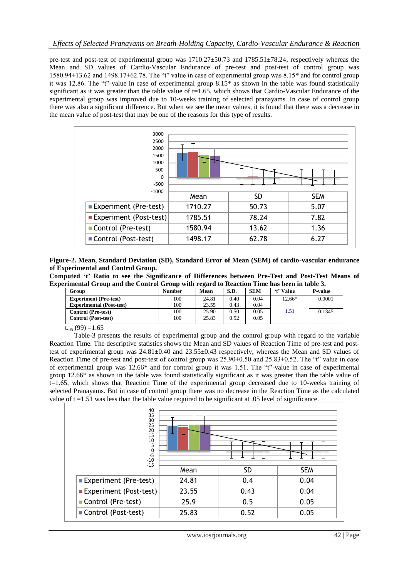pre-test and post-test of experimental group was 1710.27±50.73 and 1785.51±78.24, respectively whereas the Mean and SD values of Cardio-Vascular Endurance of pre-test and post-test of control group was 1580.94±13.62 and 1498.17±62.78. The "t" value in case of experimental group was 8.15\* and for control group it was 12.86. The "t"-value in case of experimental group 8.15\* as shown in the table was found statistically significant as it was greater than the table value of  $t=1.65$ , which shows that Cardio-Vascular Endurance of the experimental group was improved due to 10-weeks training of selected pranayams. In case of control group there was also a significant difference. But when we see the mean values, it is found that there was a decrease in the mean value of post-test that may be one of the reasons for this type of results.



**Figure-2. Mean, Standard Deviation (SD), Standard Error of Mean (SEM) of cardio-vascular endurance of Experimental and Control Group.**

**Computed 't' Ratio to see the Significance of Differences between Pre-Test and Post-Test Means of Experimental Group and the Control Group with regard to Reaction Time has been in table 3.**

| Group                           | Number | Mean  | S.D. | <b>SEM</b> | 't' Value | <b>P-value</b> |
|---------------------------------|--------|-------|------|------------|-----------|----------------|
| <b>Experiment</b> (Pre-test)    | 100    | 24.81 | 0.40 | 0.04       | 12.66*    | 0.0001         |
| <b>Experimental (Post-test)</b> | 100    | 23.55 | 0.43 | 0.04       |           |                |
| <b>Control</b> (Pre-test)       | 100    | 25.90 | 0.50 | 0.05       | 1.51      | 0.1345         |
| <b>Control</b> (Post-test)      | 100    | 25.83 | 0.52 | 0.05       |           |                |

 $t_{.05}$  (99) =1.65

Table-3 presents the results of experimental group and the control group with regard to the variable Reaction Time. The descriptive statistics shows the Mean and SD values of Reaction Time of pre-test and posttest of experimental group was  $24.81\pm0.40$  and  $23.55\pm0.43$  respectively, whereas the Mean and SD values of Reaction Time of pre-test and post-test of control group was 25.90±0.50 and 25.83±0.52. The "t" value in case of experimental group was 12.66\* and for control group it was 1.51. The "t"-value in case of experimental group 12.66\* as shown in the table was found statistically significant as it was greater than the table value of t=1.65, which shows that Reaction Time of the experimental group decreased due to 10-weeks training of selected Pranayams. But in case of control group there was no decrease in the Reaction Time as the calculated value of  $t = 1.51$  was less than the table value required to be significant at .05 level of significance.

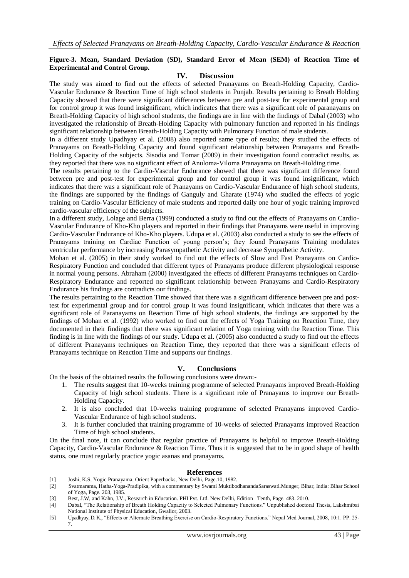#### **Figure-3. Mean, Standard Deviation (SD), Standard Error of Mean (SEM) of Reaction Time of Experimental and Control Group.**

#### **IV. Discussion**

The study was aimed to find out the effects of selected Pranayams on Breath-Holding Capacity, Cardio-Vascular Endurance & Reaction Time of high school students in Punjab. Results pertaining to Breath Holding Capacity showed that there were significant differences between pre and post-test for experimental group and for control group it was found insignificant, which indicates that there was a significant role of paranayams on Breath-Holding Capacity of high school students, the findings are in line with the findings of Dabal (2003) who investigated the relationship of Breath-Holding Capacity with pulmonary function and reported in his findings significant relationship between Breath-Holding Capacity with Pulmonary Function of male students.

In a different study Upadhyay et al. (2008) also reported same type of results; they studied the effects of Pranayams on Breath-Holding Capacity and found significant relationship between Pranayams and Breath-Holding Capacity of the subjects. Sisodia and Tomar (2009) in their investigation found contradict results, as they reported that there was no significant effect of Anuloma-Viloma Pranayama on Breath-Holding time.

The results pertaining to the Cardio-Vascular Endurance showed that there was significant difference found between pre and post-test for experimental group and for control group it was found insignificant, which indicates that there was a significant role of Pranayams on Cardio-Vascular Endurance of high school students, the findings are supported by the findings of Ganguly and Gharate (1974) who studied the effects of yogic training on Cardio-Vascular Efficiency of male students and reported daily one hour of yogic training improved cardio-vascular efficiency of the subjects.

In a different study, Lolage and Berra (1999) conducted a study to find out the effects of Pranayams on Cardio-Vascular Endurance of Kho-Kho players and reported in their findings that Pranayams were useful in improving Cardio-Vascular Endurance of Kho-Kho players. Udupa et al. (2003) also conducted a study to see the effects of Pranayams training on Cardiac Function of young person"s; they found Pranayams Training modulates ventricular performance by increasing Parasympathetic Activity and decrease Sympathetic Activity.

Mohan et al. (2005) in their study worked to find out the effects of Slow and Fast Pranayams on Cardio-Respiratory Function and concluded that different types of Pranayams produce different physiological response in normal young persons. Abraham (2000) investigated the effects of different Pranayams techniques on Cardio-Respiratory Endurance and reported no significant relationship between Pranayams and Cardio-Respiratory Endurance his findings are contradicts our findings.

The results pertaining to the Reaction Time showed that there was a significant difference between pre and posttest for experimental group and for control group it was found insignificant, which indicates that there was a significant role of Paranayams on Reaction Time of high school students, the findings are supported by the findings of Mohan et al. (1992) who worked to find out the effects of Yoga Training on Reaction Time, they documented in their findings that there was significant relation of Yoga training with the Reaction Time. This finding is in line with the findings of our study. Udupa et al. (2005) also conducted a study to find out the effects of different Pranayams techniques on Reaction Time, they reported that there was a significant effects of Pranayams technique on Reaction Time and supports our findings.

#### **V. Conclusions**

On the basis of the obtained results the following conclusions were drawn:-

- 1. The results suggest that 10-weeks training programme of selected Pranayams improved Breath-Holding Capacity of high school students. There is a significant role of Pranayams to improve our Breath-Holding Capacity.
- 2. It is also concluded that 10-weeks training programme of selected Pranayams improved Cardio-Vascular Endurance of high school students.
- 3. It is further concluded that training programme of 10-weeks of selected Pranayams improved Reaction Time of high school students.

On the final note, it can conclude that regular practice of Pranayams is helpful to improve Breath-Holding Capacity, Cardio-Vascular Endurance & Reaction Time. Thus it is suggested that to be in good shape of health status, one must regularly practice yogic asanas and pranayams.

### **References**

- [1] Joshi, K.S, Yogic Pranayama, Orient Paperbacks, New Delhi, Page.10, 1982. [2] Svatmarama, Hatha-Yoga-Pradipika, with a commentary by Swami MuktibodhanandaSaraswati.Munger, Bihar, India: Bihar School of Yoga, Page. 203, 1985.
- [3] Best, J.W, and Kahn, J.V., Research in Education. PHI Pvt. Ltd. New Delhi, Edition Tenth, Page. 483. 2010.
- [4] Dabal, "The Relationship of Breath Holding Capacity to Selected Pulmonary Functions." Unpublished doctoral Thesis, Lakshmibai National Institute of Physical Education, Gwalior, 2003.
- [5] Upadhyay, D. K., "Effects or Alternate Breathing Exercise on Cardio-Respiratory Functions." Nepal Med Journal, 2008, 10:1. PP. 25- 7.